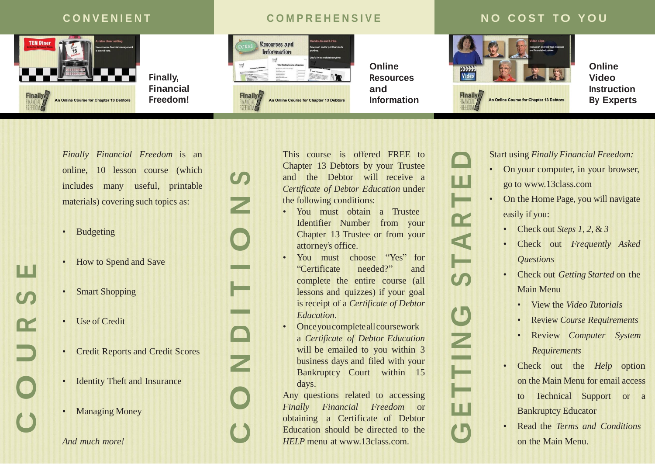

**Finally, Financial Freedom!**

## $\blacksquare$  COMPREHENSIVE **NO COST TO YOU**



*Finally Financial Freedom* is an online, 10 lesson course (which includes many useful, printable materials) covering such topics as:

- Budgeting
- How to Spend and Save
- Smart Shopping
- Use of Credit
- Credit Reports and Credit Scores
- **Identity Theft and Insurance**
- Managing Money

*And much more!*

**C**

**O**

**U**

**R**

**S** 

**E**

This course is offered FREE to Chapter 13 Debtors by your Trustee and the Debtor will receive a *Certificate of Debtor Education* under the following conditions:

- You must obtain a Trustee Identifier Number from your Chapter 13 Trustee or from your attorney's office.
- You must choose "Yes" for "Certificate needed?" and complete the entire course (all lessons and quizzes) if your goal is receipt of a *Certificate of Debtor Education*.
- Once you complete all coursework a *Certificate of Debtor Education*  will be emailed to you within 3 business days and filed with your Bankruptcy Court within 15 days.

Any questions related to accessing *Finally Financial Freedom* or obtaining a Certificate of Debtor Education should be directed to the *HELP* menu at [www.13class.com.](http://www.13class.com/)

**G**

**E**

**T**

**T** 

**N**

**G**

**S**

**TT** 

**A**

**R**

**T**

**E**

**D**

**C**

**O**

**N**

**D**

**THE** 

**O**

**N**

**S**

Start using *Finally Financial Freedom:*

- On your computer, in your browser, go to [www.13class.com](http://www.13class.com/)
- On the Home Page, you will navigate easily if you:
	- Check out *Steps 1, 2,* & *3*
	- Check out *Frequently Asked Questions*
	- Check out *Getting Started* on the Main Menu
		- View the *Video Tutorials*
		- Review *Course Requirements*
		- Review *Computer System Requirements*
	- Check out the *Help* option on the Main Menu for email access to Technical Support or a Bankruptcy Educator
	- Read the *Terms and Conditions* on the Main Menu.